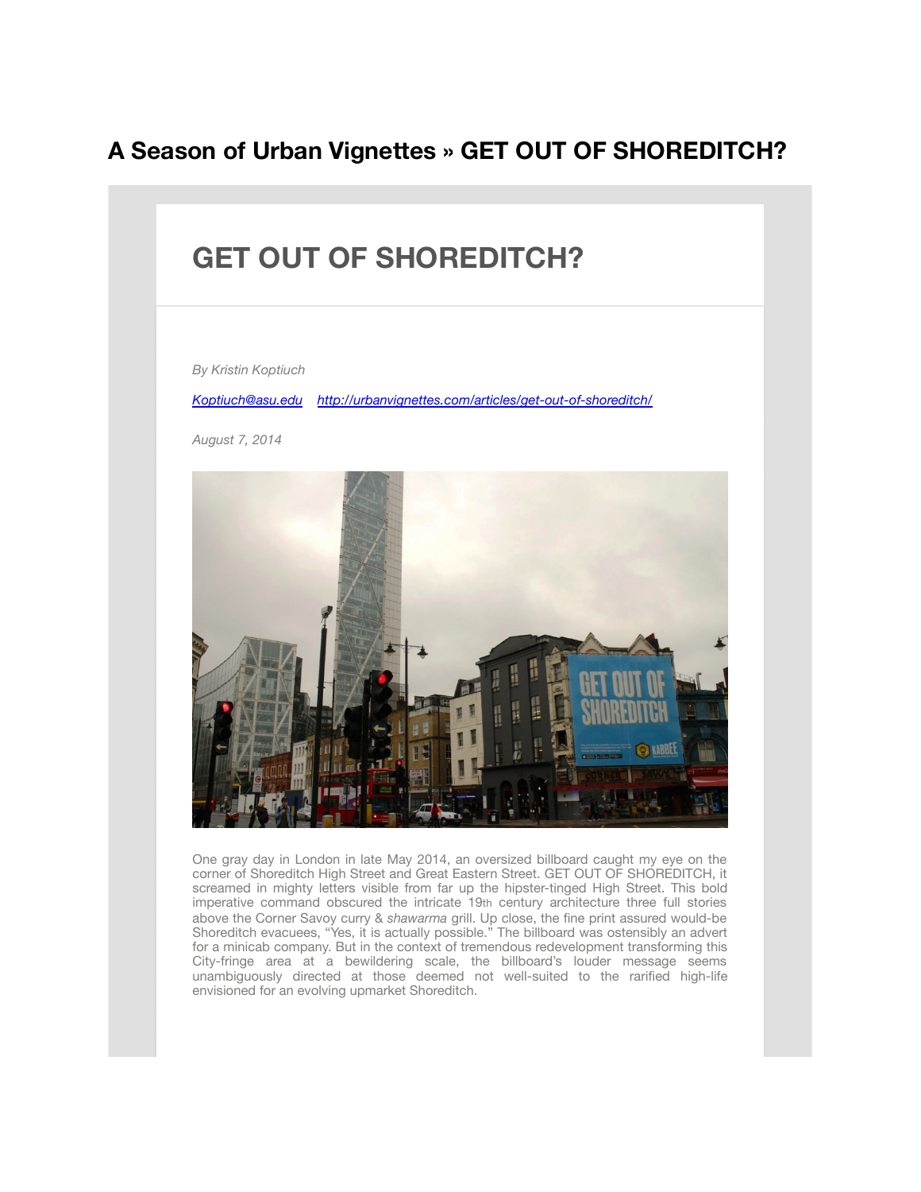## **A Season of Urban Vignettes » GET OUT OF SHOREDITCH?**



One gray day in London in late May 2014, an oversized billboard caught my eye on the corner of Shoreditch High Street and Great Eastern Street. GET OUT OF SHOREDITCH, it screamed in mighty letters visible from far up the hipster-tinged High Street. This bold imperative command obscured the intricate 19th century architecture three full stories above the Corner Savoy curry & *shawarma* grill. Up close, the fine print assured would-be Shoreditch evacuees, "Yes, it is actually possible." The billboard was ostensibly an advert for a minicab company. But in the context of tremendous redevelopment transforming this City-fringe area at a bewildering scale, the billboard's louder message seems unambiguously directed at those deemed not well-suited to the rarified high-life envisioned for an evolving upmarket Shoreditch.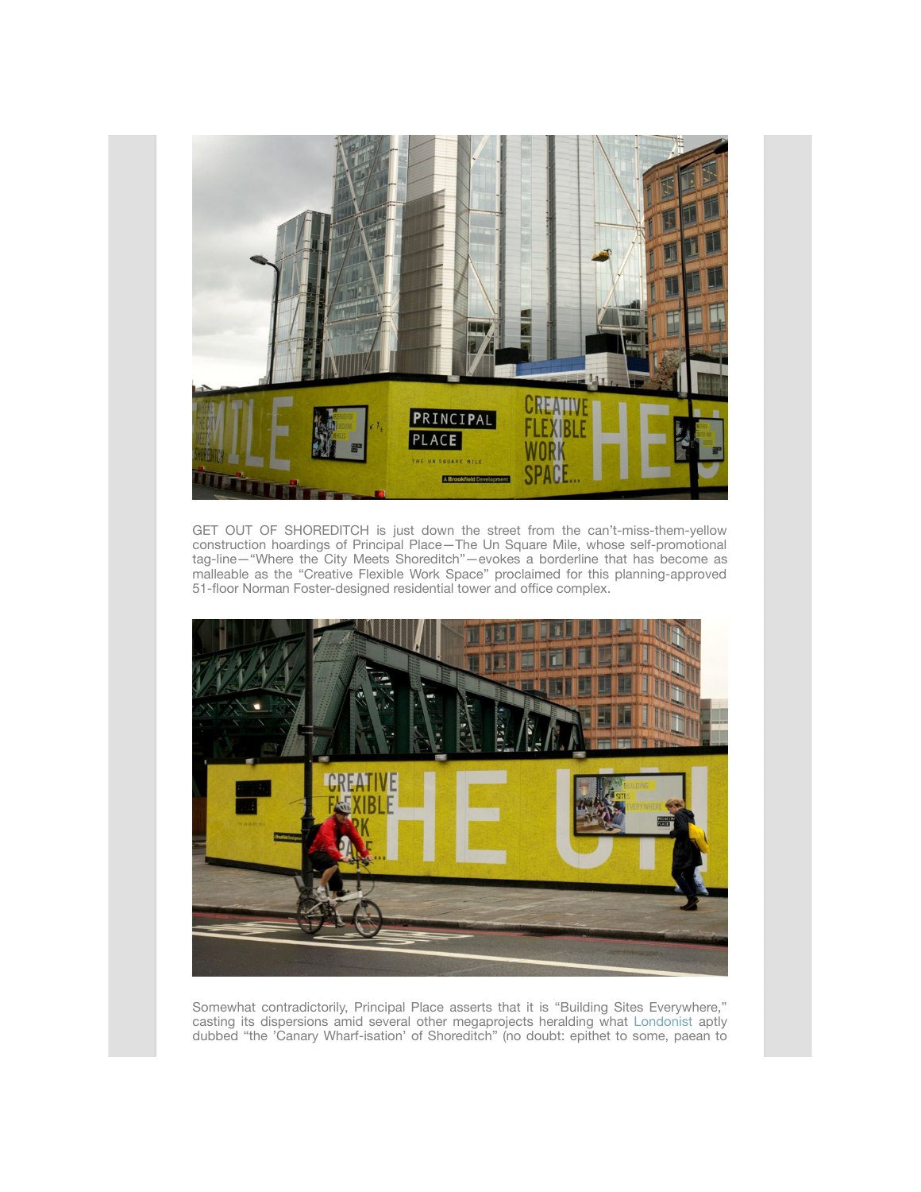

GET OUT OF SHOREDITCH is just down the street from the can't-miss-them-yellow construction hoardings of Principal Place—The Un Square Mile, whose self-promotional tag-line—"Where the City Meets Shoreditch"—evokes a borderline that has become as malleable as the "Creative Flexible Work Space" proclaimed for this planning-approved 51-floor Norman Foster-designed residential tower and office complex.



Somewhat contradictorily, Principal Place asserts that it is "Building Sites Everywhere," casting its dispersions amid several other megaprojects heralding what [Londonist](http://londonist.com/2014/02/the-canary-wharf-isation-of-shoreditch.php) aptly dubbed "the 'Canary Wharf-isation' of Shoreditch" (no doubt: epithet to some, paean to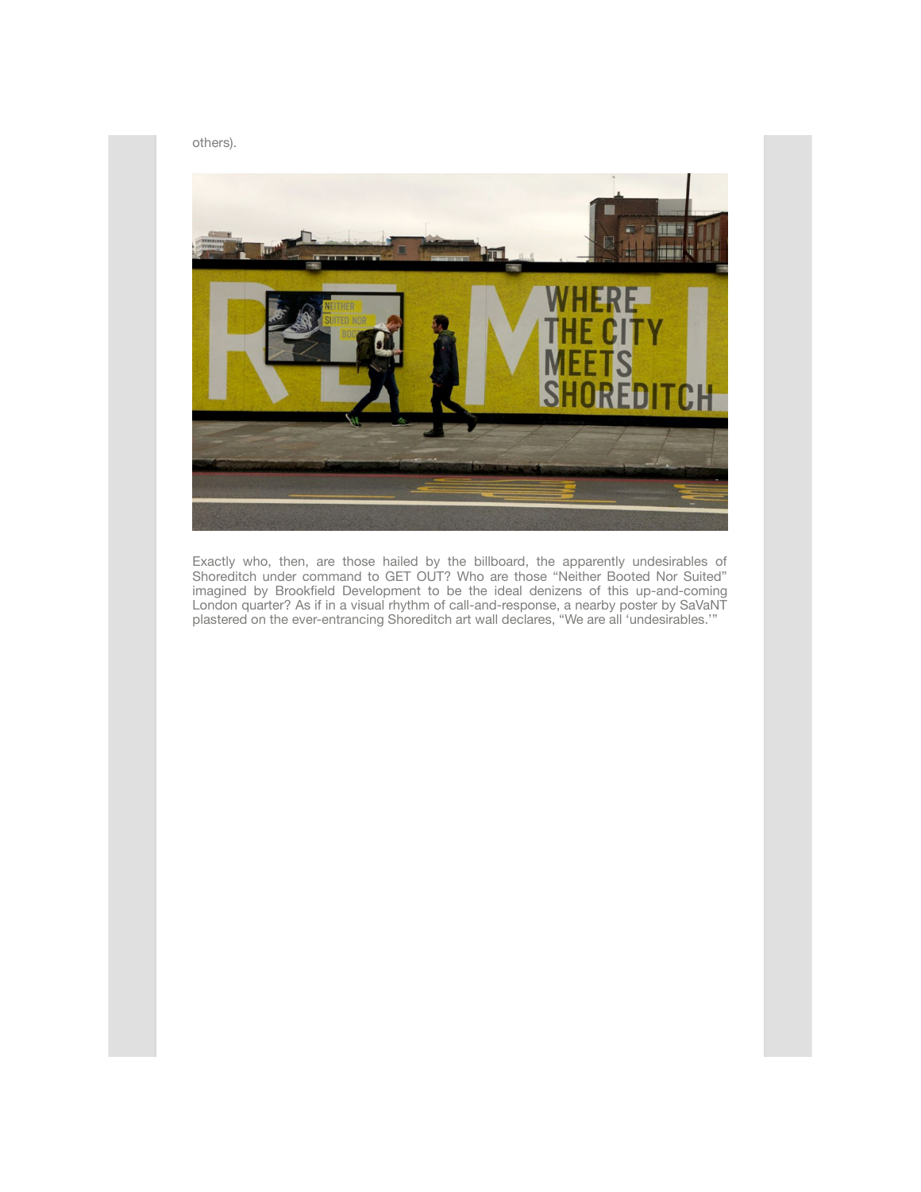

Exactly who, then, are those hailed by the billboard, the apparently undesirables of Shoreditch under command to GET OUT? Who are those "Neither Booted Nor Suited" imagined by Brookfield Development to be the ideal denizens of this up-and-coming London quarter? As if in a visual rhythm of call-and-response, a nearby poster by SaVaNT plastered on the ever-entrancing Shoreditch art wall declares, "We are all 'undesirables.'"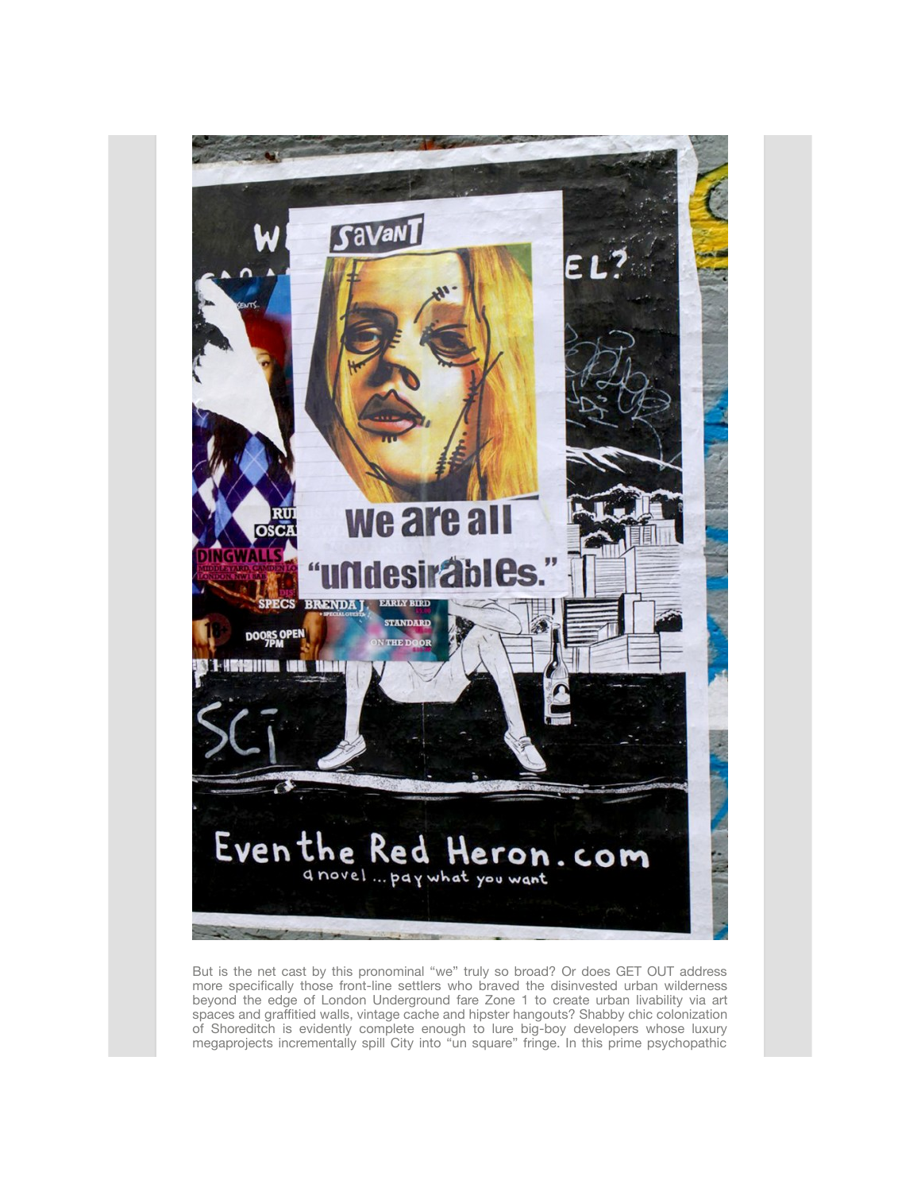

But is the net cast by this pronominal "we" truly so broad? Or does GET OUT address more specifically those front-line settlers who braved the disinvested urban wilderness beyond the edge of London Underground fare Zone 1 to create urban livability via art spaces and graffitied walls, vintage cache and hipster hangouts? Shabby chic colonization of Shoreditch is evidently complete enough to lure big-boy developers whose luxury megaprojects incrementally spill City into "un square" fringe. In this prime psychopathic